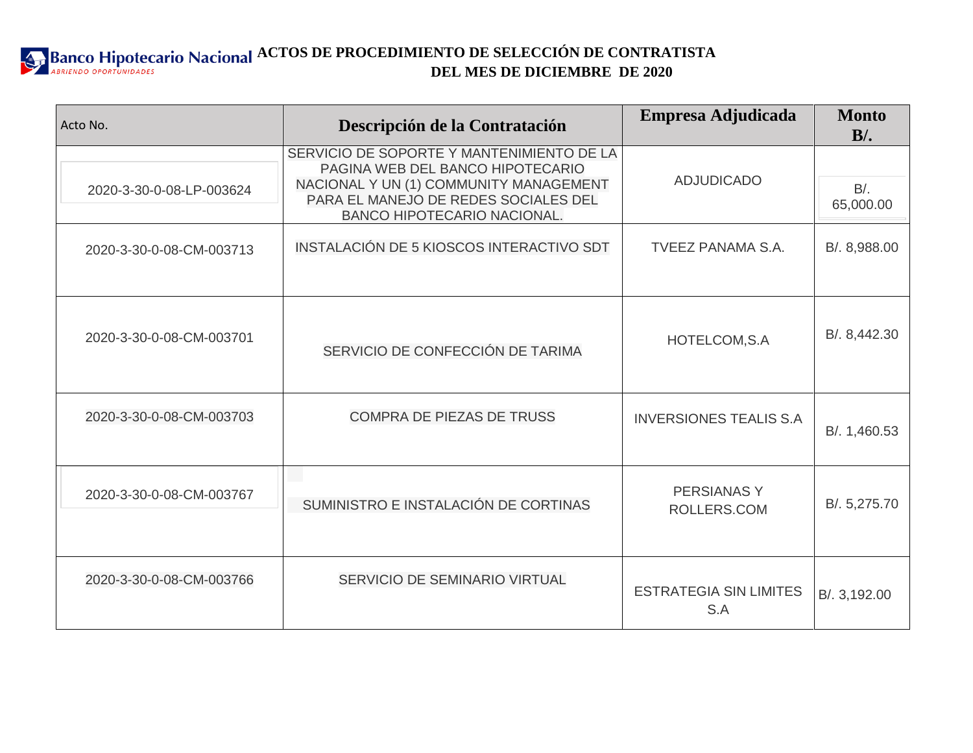

| Acto No.                 | Descripción de la Contratación                                                                                                                                                                 | Empresa Adjudicada                   | <b>Monto</b><br>$B/$ . |
|--------------------------|------------------------------------------------------------------------------------------------------------------------------------------------------------------------------------------------|--------------------------------------|------------------------|
| 2020-3-30-0-08-LP-003624 | SERVICIO DE SOPORTE Y MANTENIMIENTO DE LA<br>PAGINA WEB DEL BANCO HIPOTECARIO<br>NACIONAL Y UN (1) COMMUNITY MANAGEMENT<br>PARA EL MANEJO DE REDES SOCIALES DEL<br>BANCO HIPOTECARIO NACIONAL. | <b>ADJUDICADO</b>                    | $B$ .<br>65,000.00     |
| 2020-3-30-0-08-CM-003713 | INSTALACIÓN DE 5 KIOSCOS INTERACTIVO SDT                                                                                                                                                       | <b>TVEEZ PANAMA S.A.</b>             | B/. 8,988.00           |
| 2020-3-30-0-08-CM-003701 | SERVICIO DE CONFECCIÓN DE TARIMA                                                                                                                                                               | HOTELCOM, S.A                        | B/. 8,442.30           |
| 2020-3-30-0-08-CM-003703 | <b>COMPRA DE PIEZAS DE TRUSS</b>                                                                                                                                                               | <b>INVERSIONES TEALIS S.A.</b>       | B/. 1,460.53           |
| 2020-3-30-0-08-CM-003767 | SUMINISTRO E INSTALACIÓN DE CORTINAS                                                                                                                                                           | <b>PERSIANASY</b><br>ROLLERS.COM     | B/. 5,275.70           |
| 2020-3-30-0-08-CM-003766 | SERVICIO DE SEMINARIO VIRTUAL                                                                                                                                                                  | <b>ESTRATEGIA SIN LIMITES</b><br>S.A | B/. 3,192.00           |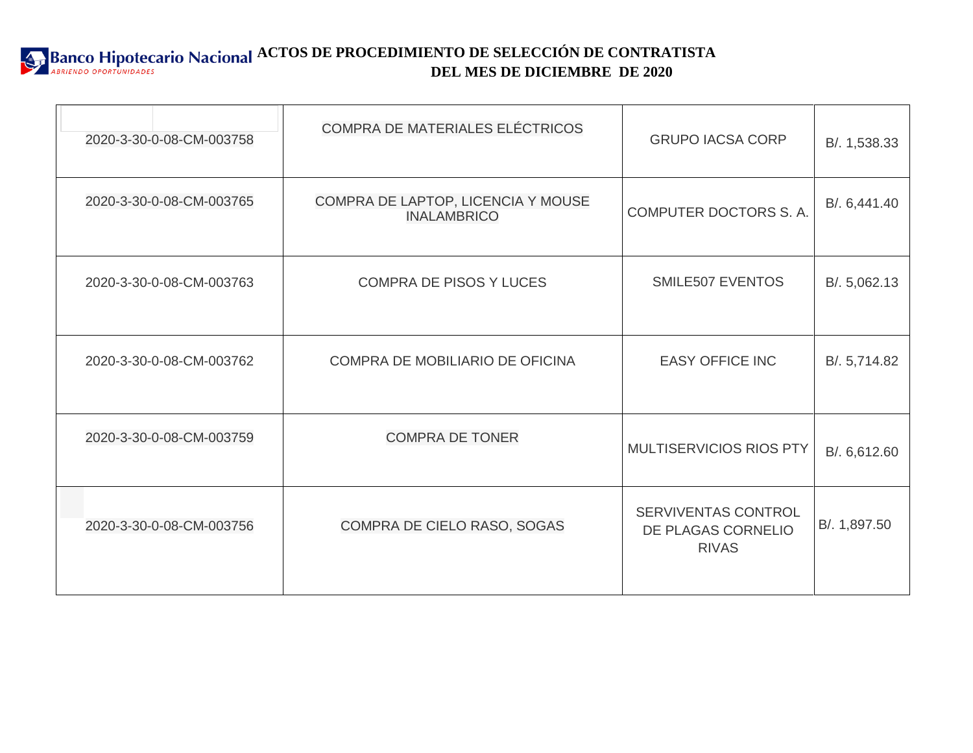

| 2020-3-30-0-08-CM-003758 | COMPRA DE MATERIALES ELÉCTRICOS                          | <b>GRUPO IACSA CORP</b>                                   | B/. 1,538.33 |
|--------------------------|----------------------------------------------------------|-----------------------------------------------------------|--------------|
| 2020-3-30-0-08-CM-003765 | COMPRA DE LAPTOP, LICENCIA Y MOUSE<br><b>INALAMBRICO</b> | COMPUTER DOCTORS S. A.                                    | B/. 6,441.40 |
| 2020-3-30-0-08-CM-003763 | <b>COMPRA DE PISOS Y LUCES</b>                           | SMILE507 EVENTOS                                          | B/. 5,062.13 |
| 2020-3-30-0-08-CM-003762 | COMPRA DE MOBILIARIO DE OFICINA                          | <b>EASY OFFICE INC</b>                                    | B/. 5,714.82 |
| 2020-3-30-0-08-CM-003759 | <b>COMPRA DE TONER</b>                                   | <b>MULTISERVICIOS RIOS PTY</b>                            | B/. 6,612.60 |
| 2020-3-30-0-08-CM-003756 | COMPRA DE CIELO RASO, SOGAS                              | SERVIVENTAS CONTROL<br>DE PLAGAS CORNELIO<br><b>RIVAS</b> | B/. 1,897.50 |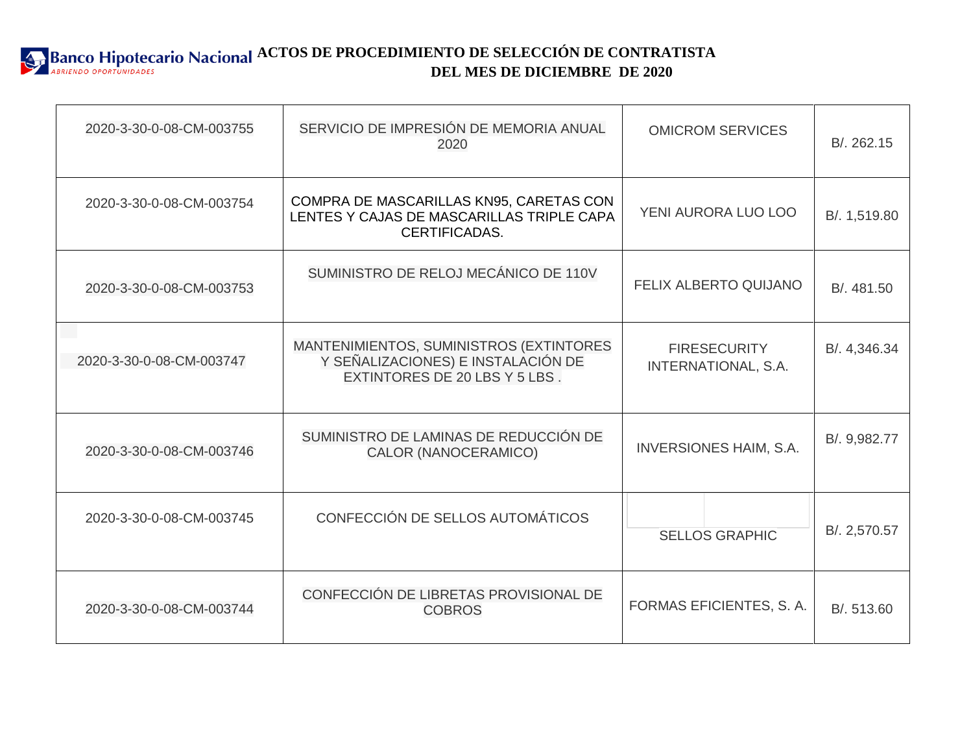

| 2020-3-30-0-08-CM-003755 | SERVICIO DE IMPRESIÓN DE MEMORIA ANUAL<br>2020                                                                 | <b>OMICROM SERVICES</b>                    | B/. 262.15   |
|--------------------------|----------------------------------------------------------------------------------------------------------------|--------------------------------------------|--------------|
| 2020-3-30-0-08-CM-003754 | COMPRA DE MASCARILLAS KN95, CARETAS CON<br>LENTES Y CAJAS DE MASCARILLAS TRIPLE CAPA<br>CERTIFICADAS.          | YENI AURORA LUO LOO                        | B/. 1,519.80 |
| 2020-3-30-0-08-CM-003753 | SUMINISTRO DE RELOJ MECÁNICO DE 110V                                                                           | <b>FELIX ALBERTO QUIJANO</b>               | B/. 481.50   |
| 2020-3-30-0-08-CM-003747 | MANTENIMIENTOS, SUMINISTROS (EXTINTORES<br>Y SEÑALIZACIONES) E INSTALACIÓN DE<br>EXTINTORES DE 20 LBS Y 5 LBS. | <b>FIRESECURITY</b><br>INTERNATIONAL, S.A. | B/. 4,346.34 |
| 2020-3-30-0-08-CM-003746 | SUMINISTRO DE LAMINAS DE REDUCCIÓN DE<br><b>CALOR (NANOCERAMICO)</b>                                           | <b>INVERSIONES HAIM, S.A.</b>              | B/. 9,982.77 |
| 2020-3-30-0-08-CM-003745 | CONFECCIÓN DE SELLOS AUTOMÁTICOS                                                                               | <b>SELLOS GRAPHIC</b>                      | B/. 2,570.57 |
| 2020-3-30-0-08-CM-003744 | CONFECCIÓN DE LIBRETAS PROVISIONAL DE<br><b>COBROS</b>                                                         | FORMAS EFICIENTES, S.A.                    | B/. 513.60   |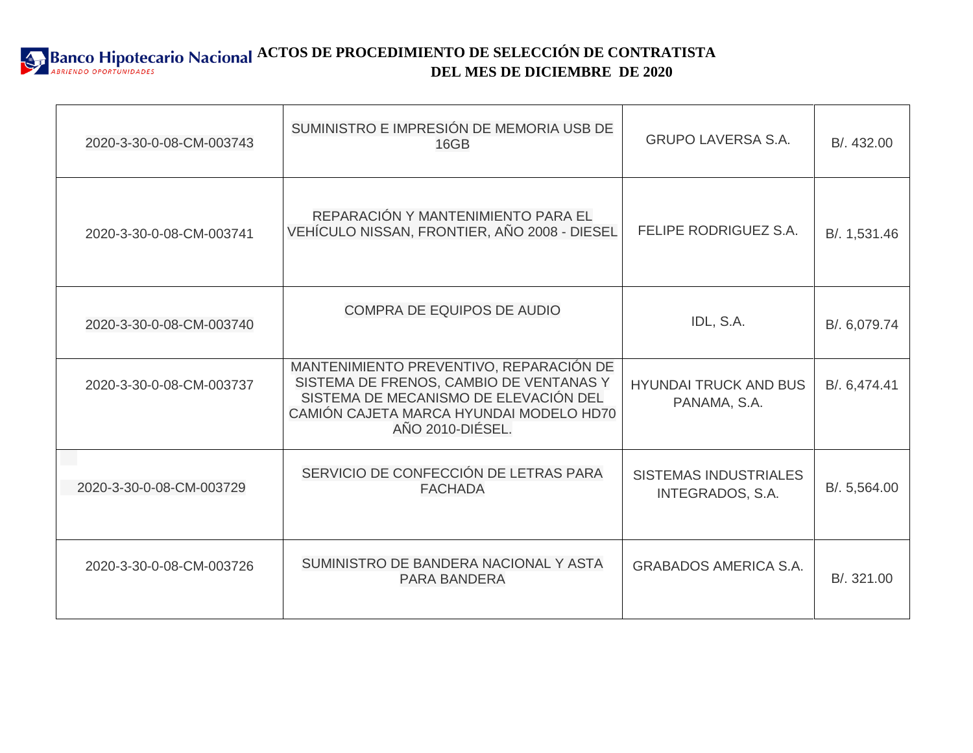

| 2020-3-30-0-08-CM-003743 | SUMINISTRO E IMPRESIÓN DE MEMORIA USB DE<br>16GB                                                                                                                                           | <b>GRUPO LAVERSA S.A.</b>                               | B/. 432.00   |
|--------------------------|--------------------------------------------------------------------------------------------------------------------------------------------------------------------------------------------|---------------------------------------------------------|--------------|
| 2020-3-30-0-08-CM-003741 | REPARACIÓN Y MANTENIMIENTO PARA EL<br>VEHÍCULO NISSAN, FRONTIER, AÑO 2008 - DIESEL                                                                                                         | FELIPE RODRIGUEZ S.A.                                   | B/. 1,531.46 |
| 2020-3-30-0-08-CM-003740 | <b>COMPRA DE EQUIPOS DE AUDIO</b>                                                                                                                                                          | IDL, S.A.                                               | B/. 6,079.74 |
| 2020-3-30-0-08-CM-003737 | MANTENIMIENTO PREVENTIVO, REPARACIÓN DE<br>SISTEMA DE FRENOS, CAMBIO DE VENTANAS Y<br>SISTEMA DE MECANISMO DE ELEVACIÓN DEL<br>CAMIÓN CAJETA MARCA HYUNDAI MODELO HD70<br>AÑO 2010-DIÉSEL. | <b>HYUNDAI TRUCK AND BUS</b><br>PANAMA, S.A.            | B/. 6,474.41 |
| 2020-3-30-0-08-CM-003729 | SERVICIO DE CONFECCIÓN DE LETRAS PARA<br><b>FACHADA</b>                                                                                                                                    | <b>SISTEMAS INDUSTRIALES</b><br><b>INTEGRADOS, S.A.</b> | B/. 5,564.00 |
| 2020-3-30-0-08-CM-003726 | SUMINISTRO DE BANDERA NACIONAL Y ASTA<br><b>PARA BANDERA</b>                                                                                                                               | <b>GRABADOS AMERICA S.A.</b>                            | B/. 321.00   |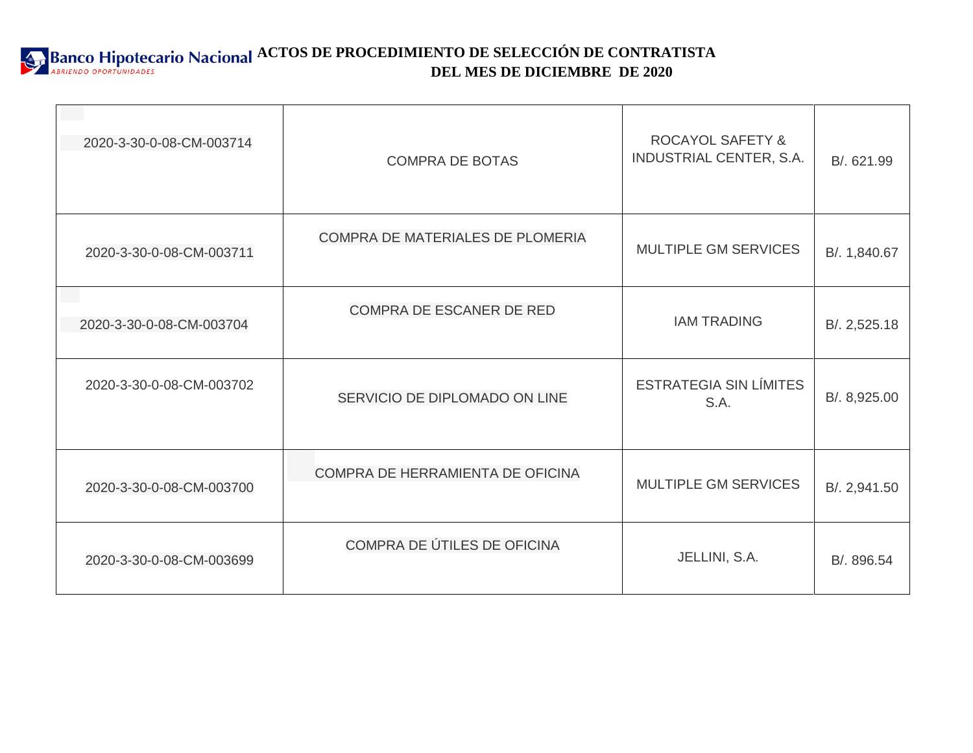**ACTOS DE PROCEDIMIENTO DE SELECCIÓN DE CONTRATISTA DEL MES DE DICIEMBRE DE 2020**

| 2020-3-30-0-08-CM-003714 | <b>COMPRA DE BOTAS</b>           | <b>ROCAYOL SAFETY &amp;</b><br>INDUSTRIAL CENTER, S.A. | B/. 621.99   |
|--------------------------|----------------------------------|--------------------------------------------------------|--------------|
| 2020-3-30-0-08-CM-003711 | COMPRA DE MATERIALES DE PLOMERIA | <b>MULTIPLE GM SERVICES</b>                            | B/. 1,840.67 |
| 2020-3-30-0-08-CM-003704 | COMPRA DE ESCANER DE RED         | <b>IAM TRADING</b>                                     | B/. 2,525.18 |
| 2020-3-30-0-08-CM-003702 | SERVICIO DE DIPLOMADO ON LINE    | <b>ESTRATEGIA SIN LÍMITES</b><br>S.A.                  | B/. 8,925.00 |
| 2020-3-30-0-08-CM-003700 | COMPRA DE HERRAMIENTA DE OFICINA | MULTIPLE GM SERVICES                                   | B/. 2,941.50 |
| 2020-3-30-0-08-CM-003699 | COMPRA DE ÚTILES DE OFICINA      | JELLINI, S.A.                                          | B/. 896.54   |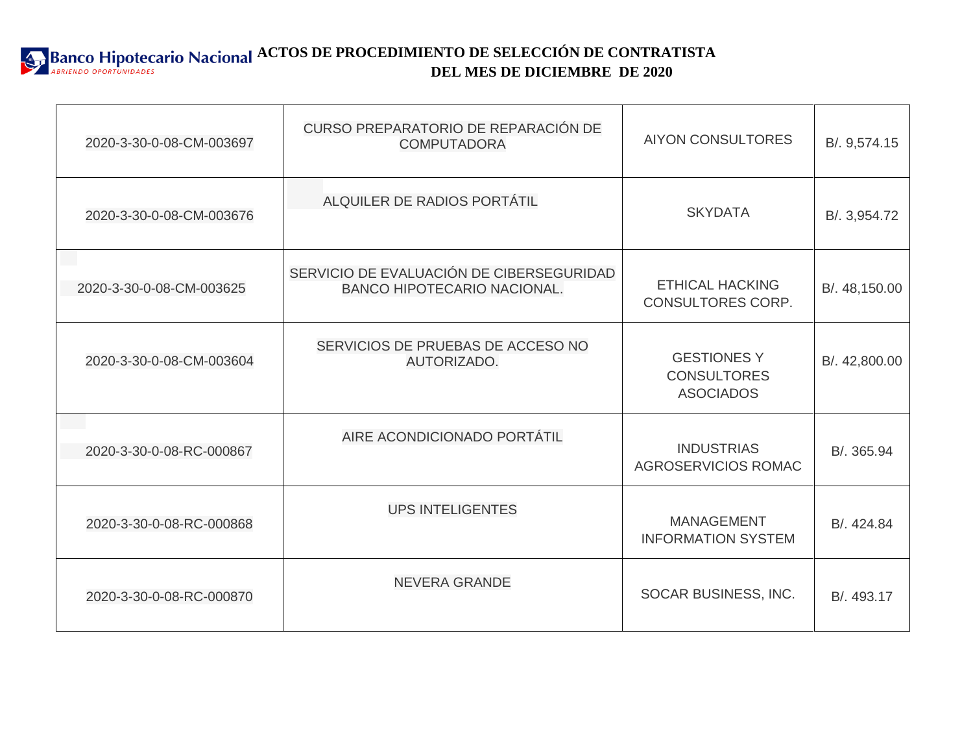

| 2020-3-30-0-08-CM-003697 | CURSO PREPARATORIO DE REPARACIÓN DE<br><b>COMPUTADORA</b>                      | <b>AIYON CONSULTORES</b>                                     | B/. 9,574.15  |
|--------------------------|--------------------------------------------------------------------------------|--------------------------------------------------------------|---------------|
| 2020-3-30-0-08-CM-003676 | ALQUILER DE RADIOS PORTÁTIL                                                    | <b>SKYDATA</b>                                               | B/. 3,954.72  |
| 2020-3-30-0-08-CM-003625 | SERVICIO DE EVALUACIÓN DE CIBERSEGURIDAD<br><b>BANCO HIPOTECARIO NACIONAL.</b> | <b>ETHICAL HACKING</b><br>CONSULTORES CORP.                  | B/. 48,150.00 |
| 2020-3-30-0-08-CM-003604 | SERVICIOS DE PRUEBAS DE ACCESO NO<br>AUTORIZADO.                               | <b>GESTIONES Y</b><br><b>CONSULTORES</b><br><b>ASOCIADOS</b> | B/. 42,800.00 |
| 2020-3-30-0-08-RC-000867 | AIRE ACONDICIONADO PORTÁTIL                                                    | <b>INDUSTRIAS</b><br>AGROSERVICIOS ROMAC                     | B/. 365.94    |
| 2020-3-30-0-08-RC-000868 | <b>UPS INTELIGENTES</b>                                                        | <b>MANAGEMENT</b><br><b>INFORMATION SYSTEM</b>               | B/. 424.84    |
| 2020-3-30-0-08-RC-000870 | <b>NEVERA GRANDE</b>                                                           | SOCAR BUSINESS, INC.                                         | B/. 493.17    |